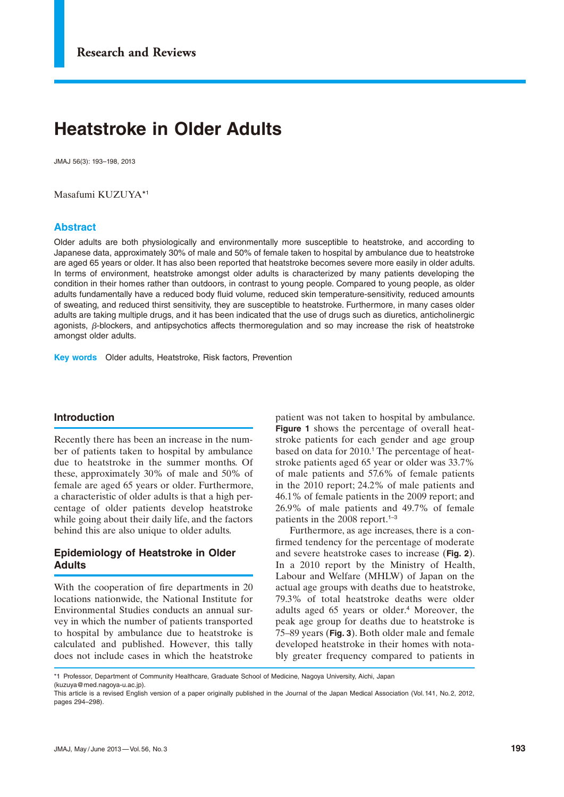# **Heatstroke in Older Adults**

JMAJ 56(3): 193–198, 2013

Masafumi KUZUYA\*1

#### **Abstract**

Older adults are both physiologically and environmentally more susceptible to heatstroke, and according to Japanese data, approximately 30% of male and 50% of female taken to hospital by ambulance due to heatstroke are aged 65 years or older. It has also been reported that heatstroke becomes severe more easily in older adults. In terms of environment, heatstroke amongst older adults is characterized by many patients developing the condition in their homes rather than outdoors, in contrast to young people. Compared to young people, as older adults fundamentally have a reduced body fluid volume, reduced skin temperature-sensitivity, reduced amounts of sweating, and reduced thirst sensitivity, they are susceptible to heatstroke. Furthermore, in many cases older adults are taking multiple drugs, and it has been indicated that the use of drugs such as diuretics, anticholinergic agonists,  $\beta$ -blockers, and antipsychotics affects thermoregulation and so may increase the risk of heatstroke amongst older adults.

**Key words** Older adults, Heatstroke, Risk factors, Prevention

#### **Introduction**

Recently there has been an increase in the number of patients taken to hospital by ambulance due to heatstroke in the summer months. Of these, approximately 30% of male and 50% of female are aged 65 years or older. Furthermore, a characteristic of older adults is that a high percentage of older patients develop heatstroke while going about their daily life, and the factors behind this are also unique to older adults.

# **Epidemiology of Heatstroke in Older Adults**

With the cooperation of fire departments in 20 locations nationwide, the National Institute for Environmental Studies conducts an annual survey in which the number of patients transported to hospital by ambulance due to heatstroke is calculated and published. However, this tally does not include cases in which the heatstroke

patient was not taken to hospital by ambulance. **Figure 1** shows the percentage of overall heatstroke patients for each gender and age group based on data for 2010.<sup>1</sup> The percentage of heatstroke patients aged 65 year or older was 33.7% of male patients and 57.6% of female patients in the 2010 report; 24.2% of male patients and 46.1% of female patients in the 2009 report; and 26.9% of male patients and 49.7% of female patients in the 2008 report.1–3

Furthermore, as age increases, there is a confirmed tendency for the percentage of moderate and severe heatstroke cases to increase (**Fig. 2**). In a 2010 report by the Ministry of Health, Labour and Welfare (MHLW) of Japan on the actual age groups with deaths due to heatstroke, 79.3% of total heatstroke deaths were older adults aged 65 years or older.<sup>4</sup> Moreover, the peak age group for deaths due to heatstroke is 75–89 years (**Fig. 3**). Both older male and female developed heatstroke in their homes with notably greater frequency compared to patients in

<sup>\*1</sup> Professor, Department of Community Healthcare, Graduate School of Medicine, Nagoya University, Aichi, Japan

<sup>(</sup>kuzuya@med.nagoya-u.ac.jp).

This article is a revised English version of a paper originally published in the Journal of the Japan Medical Association (Vol.141, No.2, 2012, pages 294–298).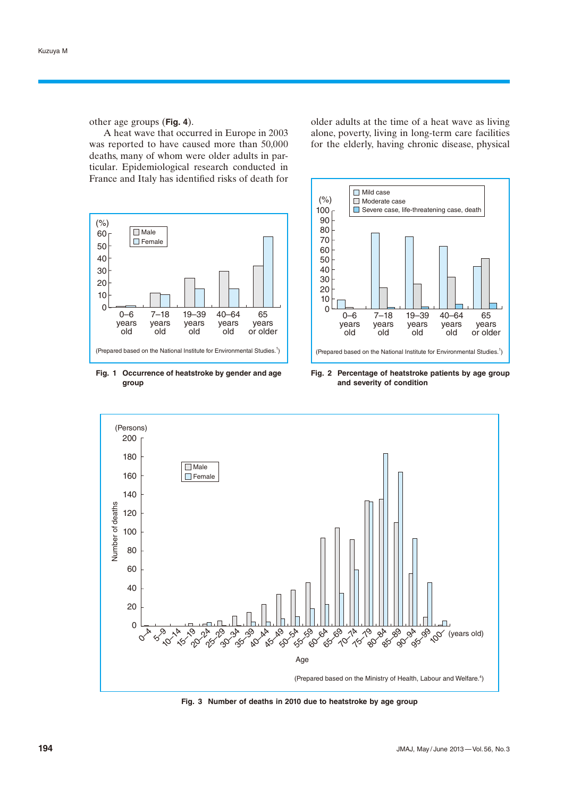other age groups (**Fig. 4**).

A heat wave that occurred in Europe in 2003 was reported to have caused more than 50,000 deaths, many of whom were older adults in particular. Epidemiological research conducted in France and Italy has identified risks of death for

 $\Box$  Male **Female** 0–6 years old 7–18 years old 19–39 years old 40–64 years old 65 years or older 60 50 40 30 20 10  $\overline{0}$ (Prepared based on the National Institute for Environmental Studies.<sup>1</sup>)  $(% )$ 

**Fig. 1 Occurrence of heatstroke by gender and age group**

older adults at the time of a heat wave as living alone, poverty, living in long-term care facilities for the elderly, having chronic disease, physical



**Fig. 2 Percentage of heatstroke patients by age group and severity of condition**



**Fig. 3 Number of deaths in 2010 due to heatstroke by age group**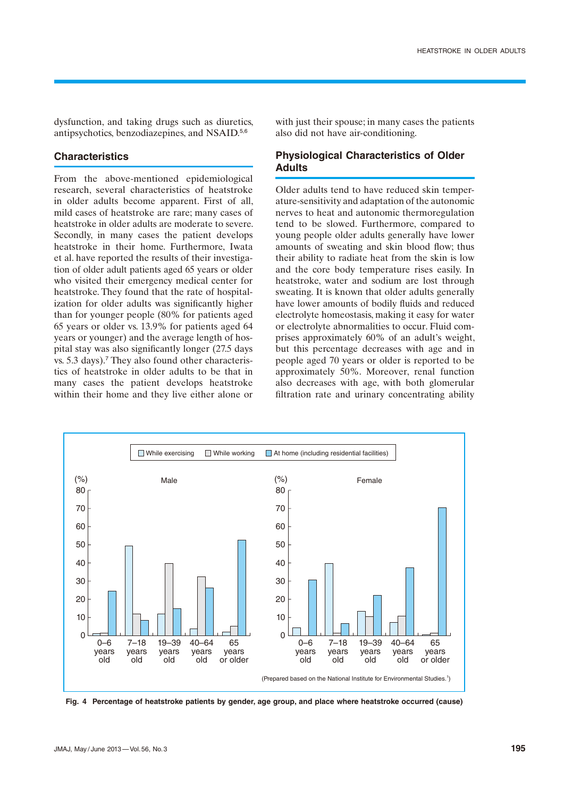dysfunction, and taking drugs such as diuretics, antipsychotics, benzodiazepines, and NSAID.5,6

#### **Characteristics**

From the above-mentioned epidemiological research, several characteristics of heatstroke in older adults become apparent. First of all, mild cases of heatstroke are rare; many cases of heatstroke in older adults are moderate to severe. Secondly, in many cases the patient develops heatstroke in their home. Furthermore, Iwata et al. have reported the results of their investigation of older adult patients aged 65 years or older who visited their emergency medical center for heatstroke. They found that the rate of hospitalization for older adults was significantly higher than for younger people (80% for patients aged 65 years or older vs. 13.9% for patients aged 64 years or younger) and the average length of hospital stay was also significantly longer (27.5 days vs. 5.3 days).<sup>7</sup> They also found other characteristics of heatstroke in older adults to be that in many cases the patient develops heatstroke within their home and they live either alone or with just their spouse; in many cases the patients also did not have air-conditioning.

# **Physiological Characteristics of Older Adults**

Older adults tend to have reduced skin temperature-sensitivity and adaptation of the autonomic nerves to heat and autonomic thermoregulation tend to be slowed. Furthermore, compared to young people older adults generally have lower amounts of sweating and skin blood flow; thus their ability to radiate heat from the skin is low and the core body temperature rises easily. In heatstroke, water and sodium are lost through sweating. It is known that older adults generally have lower amounts of bodily fluids and reduced electrolyte homeostasis, making it easy for water or electrolyte abnormalities to occur. Fluid comprises approximately 60% of an adult's weight, but this percentage decreases with age and in people aged 70 years or older is reported to be approximately 50%. Moreover, renal function also decreases with age, with both glomerular filtration rate and urinary concentrating ability



**Fig. 4 Percentage of heatstroke patients by gender, age group, and place where heatstroke occurred (cause)**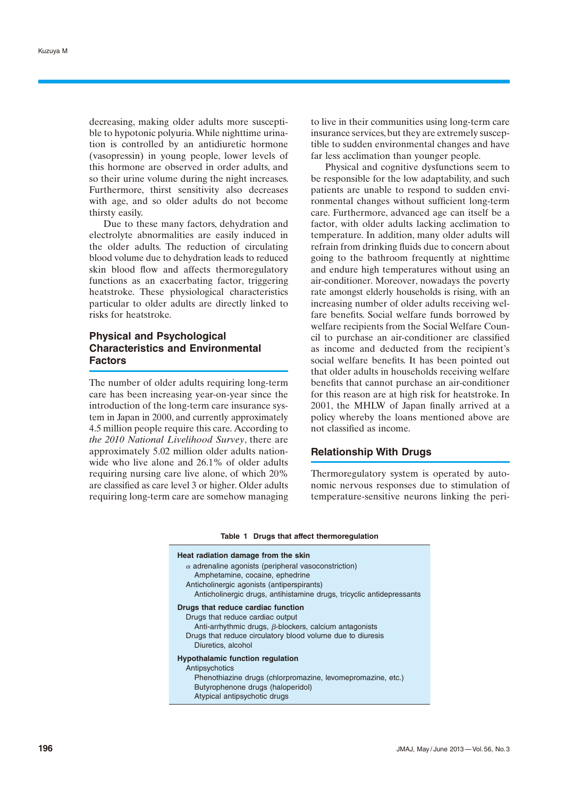decreasing, making older adults more susceptible to hypotonic polyuria. While nighttime urination is controlled by an antidiuretic hormone (vasopressin) in young people, lower levels of this hormone are observed in order adults, and so their urine volume during the night increases. Furthermore, thirst sensitivity also decreases with age, and so older adults do not become thirsty easily.

Due to these many factors, dehydration and electrolyte abnormalities are easily induced in the older adults. The reduction of circulating blood volume due to dehydration leads to reduced skin blood flow and affects thermoregulatory functions as an exacerbating factor, triggering heatstroke. These physiological characteristics particular to older adults are directly linked to risks for heatstroke.

# **Physical and Psychological Characteristics and Environmental Factors**

The number of older adults requiring long-term care has been increasing year-on-year since the introduction of the long-term care insurance system in Japan in 2000, and currently approximately 4.5 million people require this care. According to *the 2010 National Livelihood Survey*, there are approximately 5.02 million older adults nationwide who live alone and 26.1% of older adults requiring nursing care live alone, of which 20% are classified as care level 3 or higher. Older adults requiring long-term care are somehow managing

to live in their communities using long-term care insurance services, but they are extremely susceptible to sudden environmental changes and have far less acclimation than younger people.

Physical and cognitive dysfunctions seem to be responsible for the low adaptability, and such patients are unable to respond to sudden environmental changes without sufficient long-term care. Furthermore, advanced age can itself be a factor, with older adults lacking acclimation to temperature. In addition, many older adults will refrain from drinking fluids due to concern about going to the bathroom frequently at nighttime and endure high temperatures without using an air-conditioner. Moreover, nowadays the poverty rate amongst elderly households is rising, with an increasing number of older adults receiving welfare benefits. Social welfare funds borrowed by welfare recipients from the Social Welfare Council to purchase an air-conditioner are classified as income and deducted from the recipient's social welfare benefits. It has been pointed out that older adults in households receiving welfare benefits that cannot purchase an air-conditioner for this reason are at high risk for heatstroke. In 2001, the MHLW of Japan finally arrived at a policy whereby the loans mentioned above are not classified as income.

#### **Relationship With Drugs**

Thermoregulatory system is operated by autonomic nervous responses due to stimulation of temperature-sensitive neurons linking the peri-

#### **Table 1 Drugs that affect thermoregulation**

| Heat radiation damage from the skin<br>$\alpha$ adrenaline agonists (peripheral vasoconstriction)                                                                                                                           |
|-----------------------------------------------------------------------------------------------------------------------------------------------------------------------------------------------------------------------------|
| Amphetamine, cocaine, ephedrine<br>Anticholinergic agonists (antiperspirants)<br>Anticholinergic drugs, antihistamine drugs, tricyclic antidepressants                                                                      |
| Drugs that reduce cardiac function<br>Drugs that reduce cardiac output<br>Anti-arrhythmic drugs, $\beta$ -blockers, calcium antagonists<br>Drugs that reduce circulatory blood volume due to diuresis<br>Diuretics, alcohol |
| <b>Hypothalamic function regulation</b><br>Antipsychotics<br>Phenothiazine drugs (chlorpromazine, levomepromazine, etc.)<br>Butyrophenone drugs (haloperidol)<br>Atypical antipsychotic drugs                               |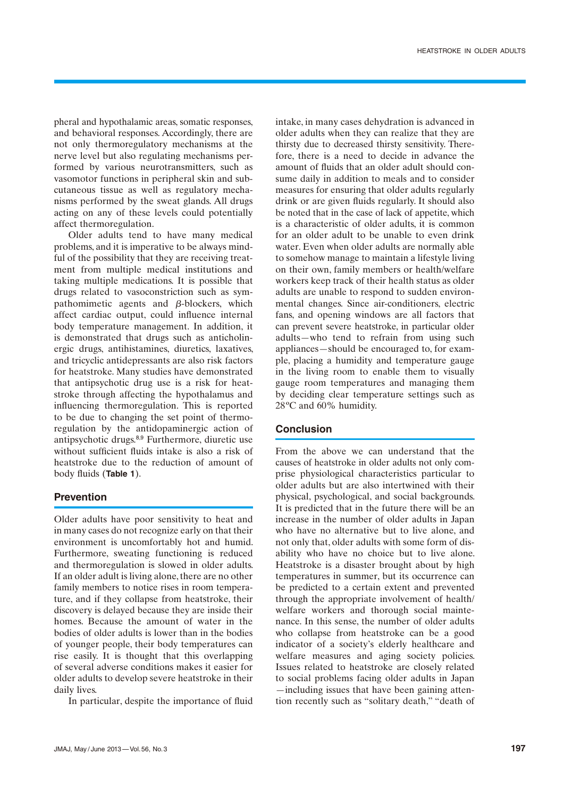pheral and hypothalamic areas, somatic responses, and behavioral responses. Accordingly, there are not only thermoregulatory mechanisms at the nerve level but also regulating mechanisms performed by various neurotransmitters, such as vasomotor functions in peripheral skin and subcutaneous tissue as well as regulatory mechanisms performed by the sweat glands. All drugs acting on any of these levels could potentially affect thermoregulation.

Older adults tend to have many medical problems, and it is imperative to be always mindful of the possibility that they are receiving treatment from multiple medical institutions and taking multiple medications. It is possible that drugs related to vasoconstriction such as sympathomimetic agents and  $\beta$ -blockers, which affect cardiac output, could influence internal body temperature management. In addition, it is demonstrated that drugs such as anticholinergic drugs, antihistamines, diuretics, laxatives, and tricyclic antidepressants are also risk factors for heatstroke. Many studies have demonstrated that antipsychotic drug use is a risk for heatstroke through affecting the hypothalamus and influencing thermoregulation. This is reported to be due to changing the set point of thermoregulation by the antidopaminergic action of antipsychotic drugs.8,9 Furthermore, diuretic use without sufficient fluids intake is also a risk of heatstroke due to the reduction of amount of body fluids (**Table 1**).

# **Prevention**

Older adults have poor sensitivity to heat and in many cases do not recognize early on that their environment is uncomfortably hot and humid. Furthermore, sweating functioning is reduced and thermoregulation is slowed in older adults. If an older adult is living alone, there are no other family members to notice rises in room temperature, and if they collapse from heatstroke, their discovery is delayed because they are inside their homes. Because the amount of water in the bodies of older adults is lower than in the bodies of younger people, their body temperatures can rise easily. It is thought that this overlapping of several adverse conditions makes it easier for older adults to develop severe heatstroke in their daily lives.

In particular, despite the importance of fluid

intake, in many cases dehydration is advanced in older adults when they can realize that they are thirsty due to decreased thirsty sensitivity. Therefore, there is a need to decide in advance the amount of fluids that an older adult should consume daily in addition to meals and to consider measures for ensuring that older adults regularly drink or are given fluids regularly. It should also be noted that in the case of lack of appetite, which is a characteristic of older adults, it is common for an older adult to be unable to even drink water. Even when older adults are normally able to somehow manage to maintain a lifestyle living on their own, family members or health/welfare workers keep track of their health status as older adults are unable to respond to sudden environmental changes. Since air-conditioners, electric fans, and opening windows are all factors that can prevent severe heatstroke, in particular older adults—who tend to refrain from using such appliances—should be encouraged to, for example, placing a humidity and temperature gauge in the living room to enable them to visually gauge room temperatures and managing them by deciding clear temperature settings such as 28ºC and 60% humidity.

# **Conclusion**

From the above we can understand that the causes of heatstroke in older adults not only comprise physiological characteristics particular to older adults but are also intertwined with their physical, psychological, and social backgrounds. It is predicted that in the future there will be an increase in the number of older adults in Japan who have no alternative but to live alone, and not only that, older adults with some form of disability who have no choice but to live alone. Heatstroke is a disaster brought about by high temperatures in summer, but its occurrence can be predicted to a certain extent and prevented through the appropriate involvement of health/ welfare workers and thorough social maintenance. In this sense, the number of older adults who collapse from heatstroke can be a good indicator of a society's elderly healthcare and welfare measures and aging society policies. Issues related to heatstroke are closely related to social problems facing older adults in Japan —including issues that have been gaining attention recently such as "solitary death," "death of